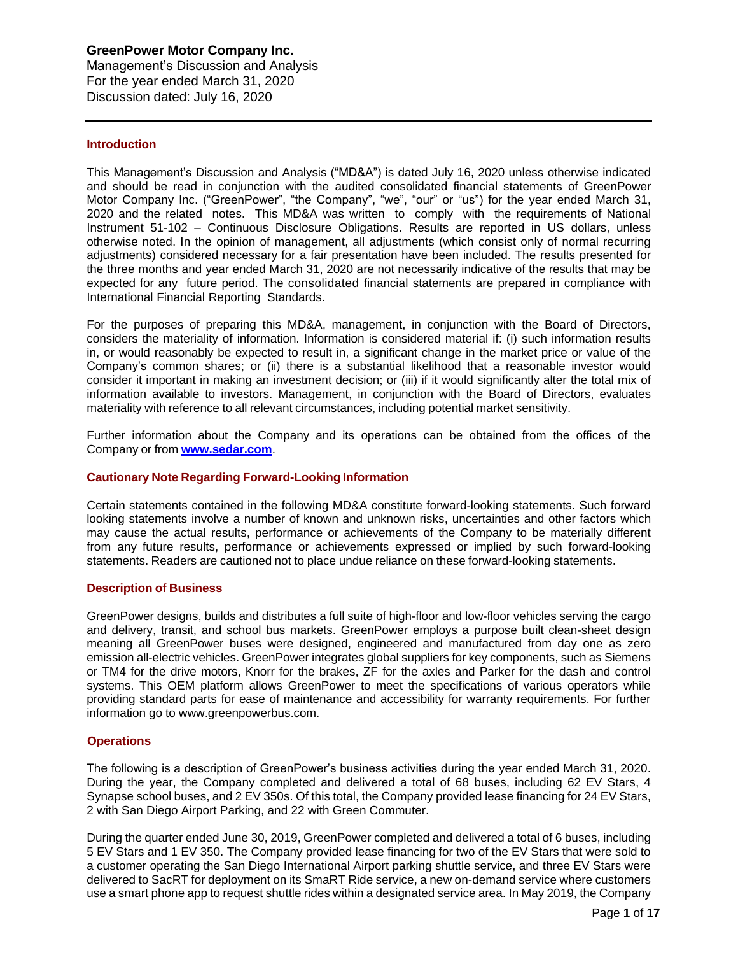Management's Discussion and Analysis For the year ended March 31, 2020 Discussion dated: July 16, 2020

### **Introduction**

This Management's Discussion and Analysis ("MD&A") is dated July 16, 2020 unless otherwise indicated and should be read in conjunction with the audited consolidated financial statements of GreenPower Motor Company Inc. ("GreenPower", "the Company", "we", "our" or "us") for the year ended March 31, 2020 and the related notes. This MD&A was written to comply with the requirements of National Instrument 51-102 – Continuous Disclosure Obligations. Results are reported in US dollars, unless otherwise noted. In the opinion of management, all adjustments (which consist only of normal recurring adjustments) considered necessary for a fair presentation have been included. The results presented for the three months and year ended March 31, 2020 are not necessarily indicative of the results that may be expected for any future period. The consolidated financial statements are prepared in compliance with International Financial Reporting Standards.

For the purposes of preparing this MD&A, management, in conjunction with the Board of Directors, considers the materiality of information. Information is considered material if: (i) such information results in, or would reasonably be expected to result in, a significant change in the market price or value of the Company's common shares; or (ii) there is a substantial likelihood that a reasonable investor would consider it important in making an investment decision; or (iii) if it would significantly alter the total mix of information available to investors. Management, in conjunction with the Board of Directors, evaluates materiality with reference to all relevant circumstances, including potential market sensitivity.

Further information about the Company and its operations can be obtained from the offices of the Company or from **[www.sedar.com](http://www.sedar.com/)**.

# **Cautionary Note Regarding Forward-Looking Information**

Certain statements contained in the following MD&A constitute forward-looking statements. Such forward looking statements involve a number of known and unknown risks, uncertainties and other factors which may cause the actual results, performance or achievements of the Company to be materially different from any future results, performance or achievements expressed or implied by such forward-looking statements. Readers are cautioned not to place undue reliance on these forward-looking statements.

#### **Description of Business**

GreenPower designs, builds and distributes a full suite of high-floor and low-floor vehicles serving the cargo and delivery, transit, and school bus markets. GreenPower employs a purpose built clean-sheet design meaning all GreenPower buses were designed, engineered and manufactured from day one as zero emission all-electric vehicles. GreenPower integrates global suppliers for key components, such as Siemens or TM4 for the drive motors, Knorr for the brakes, ZF for the axles and Parker for the dash and control systems. This OEM platform allows GreenPower to meet the specifications of various operators while providing standard parts for ease of maintenance and accessibility for warranty requirements. For further information go to [www.greenpowerbus.com.](https://pr.report/1CyTxqA2)

# **Operations**

The following is a description of GreenPower's business activities during the year ended March 31, 2020. During the year, the Company completed and delivered a total of 68 buses, including 62 EV Stars, 4 Synapse school buses, and 2 EV 350s. Of this total, the Company provided lease financing for 24 EV Stars, 2 with San Diego Airport Parking, and 22 with Green Commuter.

During the quarter ended June 30, 2019, GreenPower completed and delivered a total of 6 buses, including 5 EV Stars and 1 EV 350. The Company provided lease financing for two of the EV Stars that were sold to a customer operating the San Diego International Airport parking shuttle service, and three EV Stars were delivered to SacRT for deployment on its SmaRT Ride service, a new on-demand service where customers use a smart phone app to request shuttle rides within a designated service area. In May 2019, the Company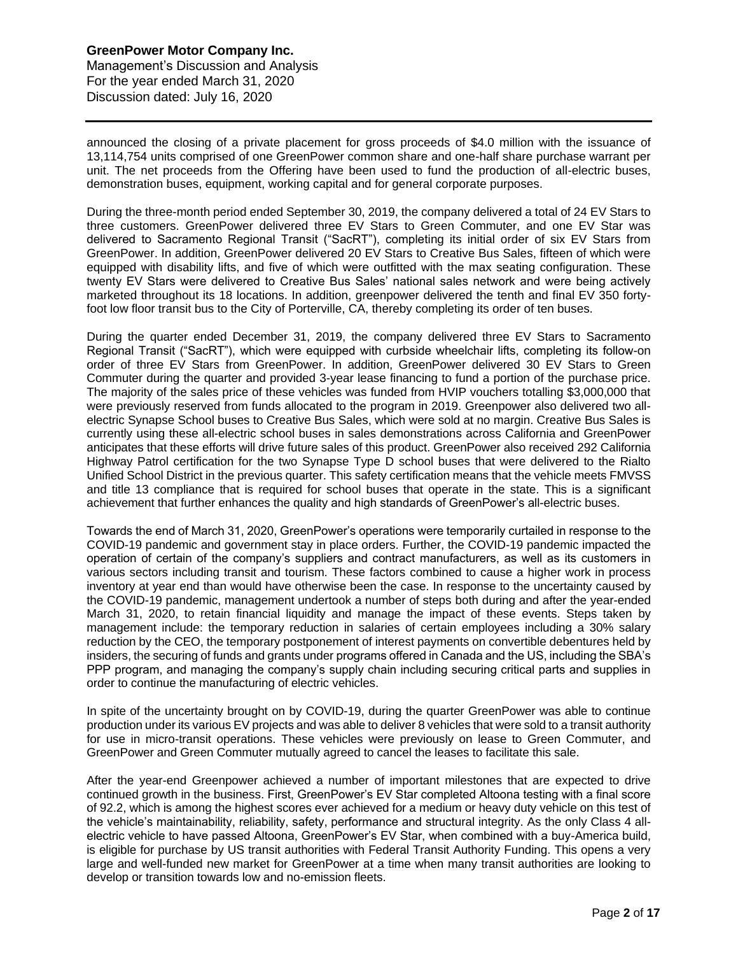# **GreenPower Motor Company Inc.** Management's Discussion and Analysis For the year ended March 31, 2020 Discussion dated: July 16, 2020

announced the closing of a private placement for gross proceeds of \$4.0 million with the issuance of 13,114,754 units comprised of one GreenPower common share and one-half share purchase warrant per unit. The net proceeds from the Offering have been used to fund the production of all-electric buses, demonstration buses, equipment, working capital and for general corporate purposes.

During the three-month period ended September 30, 2019, the company delivered a total of 24 EV Stars to three customers. GreenPower delivered three EV Stars to Green Commuter, and one EV Star was delivered to Sacramento Regional Transit ("SacRT"), completing its initial order of six EV Stars from GreenPower. In addition, GreenPower delivered 20 EV Stars to Creative Bus Sales, fifteen of which were equipped with disability lifts, and five of which were outfitted with the max seating configuration. These twenty EV Stars were delivered to Creative Bus Sales' national sales network and were being actively marketed throughout its 18 locations. In addition, greenpower delivered the tenth and final EV 350 fortyfoot low floor transit bus to the City of Porterville, CA, thereby completing its order of ten buses.

During the quarter ended December 31, 2019, the company delivered three EV Stars to Sacramento Regional Transit ("SacRT"), which were equipped with curbside wheelchair lifts, completing its follow-on order of three EV Stars from GreenPower. In addition, GreenPower delivered 30 EV Stars to Green Commuter during the quarter and provided 3-year lease financing to fund a portion of the purchase price. The majority of the sales price of these vehicles was funded from HVIP vouchers totalling \$3,000,000 that were previously reserved from funds allocated to the program in 2019. Greenpower also delivered two allelectric Synapse School buses to Creative Bus Sales, which were sold at no margin. Creative Bus Sales is currently using these all-electric school buses in sales demonstrations across California and GreenPower anticipates that these efforts will drive future sales of this product. GreenPower also received 292 California Highway Patrol certification for the two Synapse Type D school buses that were delivered to the Rialto Unified School District in the previous quarter. This safety certification means that the vehicle meets FMVSS and title 13 compliance that is required for school buses that operate in the state. This is a significant achievement that further enhances the quality and high standards of GreenPower's all-electric buses.

Towards the end of March 31, 2020, GreenPower's operations were temporarily curtailed in response to the COVID-19 pandemic and government stay in place orders. Further, the COVID-19 pandemic impacted the operation of certain of the company's suppliers and contract manufacturers, as well as its customers in various sectors including transit and tourism. These factors combined to cause a higher work in process inventory at year end than would have otherwise been the case. In response to the uncertainty caused by the COVID-19 pandemic, management undertook a number of steps both during and after the year-ended March 31, 2020, to retain financial liquidity and manage the impact of these events. Steps taken by management include: the temporary reduction in salaries of certain employees including a 30% salary reduction by the CEO, the temporary postponement of interest payments on convertible debentures held by insiders, the securing of funds and grants under programs offered in Canada and the US, including the SBA's PPP program, and managing the company's supply chain including securing critical parts and supplies in order to continue the manufacturing of electric vehicles.

In spite of the uncertainty brought on by COVID-19, during the quarter GreenPower was able to continue production under its various EV projects and was able to deliver 8 vehicles that were sold to a transit authority for use in micro-transit operations. These vehicles were previously on lease to Green Commuter, and GreenPower and Green Commuter mutually agreed to cancel the leases to facilitate this sale.

After the year-end Greenpower achieved a number of important milestones that are expected to drive continued growth in the business. First, GreenPower's EV Star completed Altoona testing with a final score of 92.2, which is among the highest scores ever achieved for a medium or heavy duty vehicle on this test of the vehicle's maintainability, reliability, safety, performance and structural integrity. As the only Class 4 allelectric vehicle to have passed Altoona, GreenPower's EV Star, when combined with a buy-America build, is eligible for purchase by US transit authorities with Federal Transit Authority Funding. This opens a very large and well-funded new market for GreenPower at a time when many transit authorities are looking to develop or transition towards low and no-emission fleets.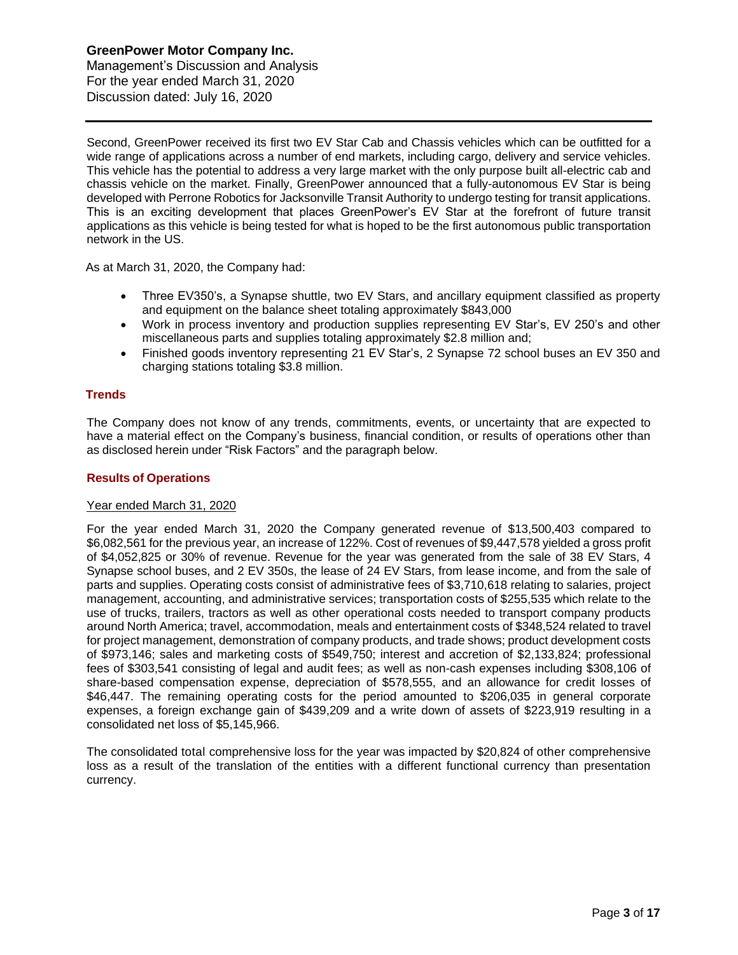Management's Discussion and Analysis For the year ended March 31, 2020 Discussion dated: July 16, 2020

Second, GreenPower received its first two EV Star Cab and Chassis vehicles which can be outfitted for a wide range of applications across a number of end markets, including cargo, delivery and service vehicles. This vehicle has the potential to address a very large market with the only purpose built all-electric cab and chassis vehicle on the market. Finally, GreenPower announced that a fully-autonomous EV Star is being developed with Perrone Robotics for Jacksonville Transit Authority to undergo testing for transit applications. This is an exciting development that places GreenPower's EV Star at the forefront of future transit applications as this vehicle is being tested for what is hoped to be the first autonomous public transportation network in the US.

As at March 31, 2020, the Company had:

- Three EV350's, a Synapse shuttle, two EV Stars, and ancillary equipment classified as property and equipment on the balance sheet totaling approximately \$843,000
- Work in process inventory and production supplies representing EV Star's, EV 250's and other miscellaneous parts and supplies totaling approximately \$2.8 million and;
- Finished goods inventory representing 21 EV Star's, 2 Synapse 72 school buses an EV 350 and charging stations totaling \$3.8 million.

# **Trends**

The Company does not know of any trends, commitments, events, or uncertainty that are expected to have a material effect on the Company's business, financial condition, or results of operations other than as disclosed herein under "Risk Factors" and the paragraph below.

# **Results of Operations**

#### Year ended March 31, 2020

For the year ended March 31, 2020 the Company generated revenue of \$13,500,403 compared to \$6,082,561 for the previous year, an increase of 122%. Cost of revenues of \$9,447,578 yielded a gross profit of \$4,052,825 or 30% of revenue. Revenue for the year was generated from the sale of 38 EV Stars, 4 Synapse school buses, and 2 EV 350s, the lease of 24 EV Stars, from lease income, and from the sale of parts and supplies. Operating costs consist of administrative fees of \$3,710,618 relating to salaries, project management, accounting, and administrative services; transportation costs of \$255,535 which relate to the use of trucks, trailers, tractors as well as other operational costs needed to transport company products around North America; travel, accommodation, meals and entertainment costs of \$348,524 related to travel for project management, demonstration of company products, and trade shows; product development costs of \$973,146; sales and marketing costs of \$549,750; interest and accretion of \$2,133,824; professional fees of \$303,541 consisting of legal and audit fees; as well as non-cash expenses including \$308,106 of share-based compensation expense, depreciation of \$578,555, and an allowance for credit losses of \$46,447. The remaining operating costs for the period amounted to \$206,035 in general corporate expenses, a foreign exchange gain of \$439,209 and a write down of assets of \$223,919 resulting in a consolidated net loss of \$5,145,966.

The consolidated total comprehensive loss for the year was impacted by \$20,824 of other comprehensive loss as a result of the translation of the entities with a different functional currency than presentation currency.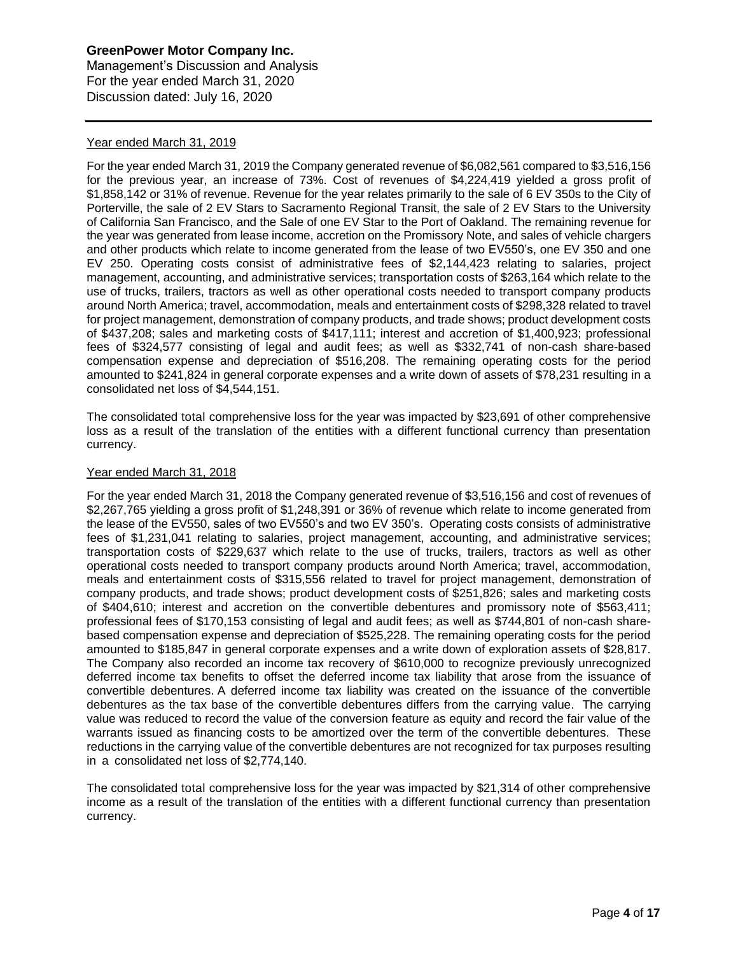# **GreenPower Motor Company Inc.** Management's Discussion and Analysis

For the year ended March 31, 2020 Discussion dated: July 16, 2020

# Year ended March 31, 2019

For the year ended March 31, 2019 the Company generated revenue of \$6,082,561 compared to \$3,516,156 for the previous year, an increase of 73%. Cost of revenues of \$4,224,419 yielded a gross profit of \$1,858,142 or 31% of revenue. Revenue for the year relates primarily to the sale of 6 EV 350s to the City of Porterville, the sale of 2 EV Stars to Sacramento Regional Transit, the sale of 2 EV Stars to the University of California San Francisco, and the Sale of one EV Star to the Port of Oakland. The remaining revenue for the year was generated from lease income, accretion on the Promissory Note, and sales of vehicle chargers and other products which relate to income generated from the lease of two EV550's, one EV 350 and one EV 250. Operating costs consist of administrative fees of \$2,144,423 relating to salaries, project management, accounting, and administrative services; transportation costs of \$263,164 which relate to the use of trucks, trailers, tractors as well as other operational costs needed to transport company products around North America; travel, accommodation, meals and entertainment costs of \$298,328 related to travel for project management, demonstration of company products, and trade shows; product development costs of \$437,208; sales and marketing costs of \$417,111; interest and accretion of \$1,400,923; professional fees of \$324,577 consisting of legal and audit fees; as well as \$332,741 of non-cash share-based compensation expense and depreciation of \$516,208. The remaining operating costs for the period amounted to \$241,824 in general corporate expenses and a write down of assets of \$78,231 resulting in a consolidated net loss of \$4,544,151.

The consolidated total comprehensive loss for the year was impacted by \$23,691 of other comprehensive loss as a result of the translation of the entities with a different functional currency than presentation currency.

# Year ended March 31, 2018

For the year ended March 31, 2018 the Company generated revenue of \$3,516,156 and cost of revenues of \$2,267,765 yielding a gross profit of \$1,248,391 or 36% of revenue which relate to income generated from the lease of the EV550, sales of two EV550's and two EV 350's. Operating costs consists of administrative fees of \$1,231,041 relating to salaries, project management, accounting, and administrative services; transportation costs of \$229,637 which relate to the use of trucks, trailers, tractors as well as other operational costs needed to transport company products around North America; travel, accommodation, meals and entertainment costs of \$315,556 related to travel for project management, demonstration of company products, and trade shows; product development costs of \$251,826; sales and marketing costs of \$404,610; interest and accretion on the convertible debentures and promissory note of \$563,411; professional fees of \$170,153 consisting of legal and audit fees; as well as \$744,801 of non-cash sharebased compensation expense and depreciation of \$525,228. The remaining operating costs for the period amounted to \$185,847 in general corporate expenses and a write down of exploration assets of \$28,817. The Company also recorded an income tax recovery of \$610,000 to recognize previously unrecognized deferred income tax benefits to offset the deferred income tax liability that arose from the issuance of convertible debentures. A deferred income tax liability was created on the issuance of the convertible debentures as the tax base of the convertible debentures differs from the carrying value. The carrying value was reduced to record the value of the conversion feature as equity and record the fair value of the warrants issued as financing costs to be amortized over the term of the convertible debentures. These reductions in the carrying value of the convertible debentures are not recognized for tax purposes resulting in a consolidated net loss of \$2,774,140.

The consolidated total comprehensive loss for the year was impacted by \$21,314 of other comprehensive income as a result of the translation of the entities with a different functional currency than presentation currency.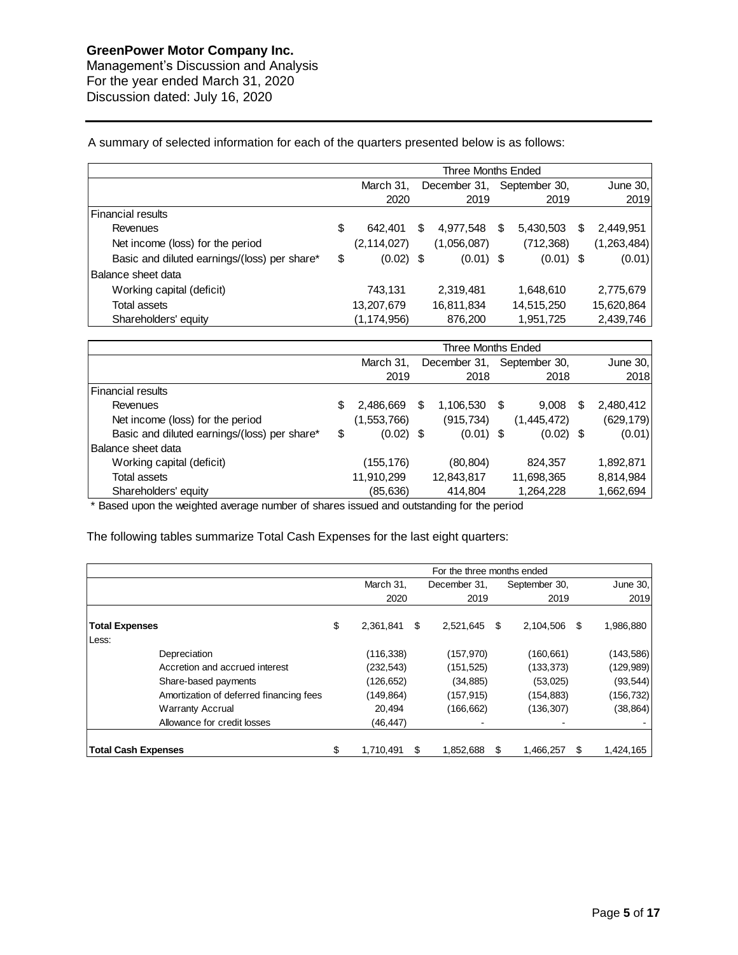Management's Discussion and Analysis For the year ended March 31, 2020 Discussion dated: July 16, 2020

A summary of selected information for each of the quarters presented below is as follows:

|                                              | Three Months Ended |               |   |              |               |             |   |             |
|----------------------------------------------|--------------------|---------------|---|--------------|---------------|-------------|---|-------------|
|                                              |                    | March 31.     |   | December 31, | September 30, |             |   | June $30,$  |
|                                              |                    | 2020          |   | 2019         |               | 2019        |   | 2019        |
| Financial results                            |                    |               |   |              |               |             |   |             |
| Revenues                                     | \$                 | 642.401       | S | 4,977,548    | S             | 5,430,503   | S | 2,449,951   |
| Net income (loss) for the period             |                    | (2, 114, 027) |   | (1,056,087)  |               | (712, 368)  |   | (1,263,484) |
| Basic and diluted earnings/(loss) per share* | \$                 | $(0.02)$ \$   |   | $(0.01)$ \$  |               | $(0.01)$ \$ |   | (0.01)      |
| <b>Balance sheet data</b>                    |                    |               |   |              |               |             |   |             |
| Working capital (deficit)                    |                    | 743,131       |   | 2,319,481    |               | 1,648,610   |   | 2,775,679   |
| Total assets                                 |                    | 13,207,679    |   | 16,811,834   |               | 14,515,250  |   | 15,620,864  |
| Shareholders' equity                         |                    | (1,174,956)   |   | 876,200      |               | 1,951,725   |   | 2,439,746   |

|                                              | Three Months Ended |             |    |              |      |               |   |            |
|----------------------------------------------|--------------------|-------------|----|--------------|------|---------------|---|------------|
|                                              |                    | March 31,   |    | December 31, |      | September 30, |   | June 30,   |
|                                              |                    | 2019        |    | 2018         |      | 2018          |   | 2018       |
| Financial results                            |                    |             |    |              |      |               |   |            |
| Revenues                                     | S                  | 2,486,669   | S. | 1,106,530    | - \$ | 9,008         | S | 2,480,412  |
| Net income (loss) for the period             |                    | (1,553,766) |    | (915, 734)   |      | (1,445,472)   |   | (629, 179) |
| Basic and diluted earnings/(loss) per share* | \$                 | $(0.02)$ \$ |    | $(0.01)$ \$  |      | $(0.02)$ \$   |   | (0.01)     |
| Balance sheet data                           |                    |             |    |              |      |               |   |            |
| Working capital (deficit)                    |                    | (155,176)   |    | (80, 804)    |      | 824,357       |   | 1,892,871  |
| Total assets                                 |                    | 11,910,299  |    | 12,843,817   |      | 11,698,365    |   | 8,814,984  |
| Shareholders' equity                         |                    | (85,636)    |    | 414,804      |      | 1,264,228     |   | 1,662,694  |

\* Based upon the weighted average number of shares issued and outstanding for the period

The following tables summarize Total Cash Expenses for the last eight quarters:

|                       |                                         | For the three months ended |            |    |              |                       |               |           |            |
|-----------------------|-----------------------------------------|----------------------------|------------|----|--------------|-----------------------|---------------|-----------|------------|
|                       |                                         |                            | March 31,  |    | December 31, |                       | September 30, |           | June 30,   |
|                       |                                         |                            | 2020       |    | 2019         |                       | 2019          |           | 2019       |
| <b>Total Expenses</b> |                                         | \$                         | 2,361,841  | \$ | 2,521,645    | -\$<br>2,104,506<br>S |               | 1,986,880 |            |
| Less:                 |                                         |                            |            |    |              |                       |               |           |            |
|                       | Depreciation                            |                            | (116, 338) |    | (157, 970)   |                       | (160,661)     |           | (143, 586) |
|                       | Accretion and accrued interest          |                            | (232, 543) |    | (151, 525)   |                       | (133, 373)    |           | (129,989)  |
|                       | Share-based payments                    |                            | (126, 652) |    | (34, 885)    |                       | (53,025)      |           | (93, 544)  |
|                       | Amortization of deferred financing fees |                            | (149,864)  |    | (157, 915)   |                       | (154, 883)    |           | (156,732)  |
|                       | <b>Warranty Accrual</b>                 |                            | 20,494     |    | (166, 662)   |                       | (136, 307)    |           | (38, 864)  |
|                       | Allowance for credit losses             |                            | (46, 447)  |    |              |                       |               |           |            |
|                       | <b>Total Cash Expenses</b>              | \$                         | 1,710,491  | S  | 1,852,688    | S                     | 1,466,257     | \$        | 1,424,165  |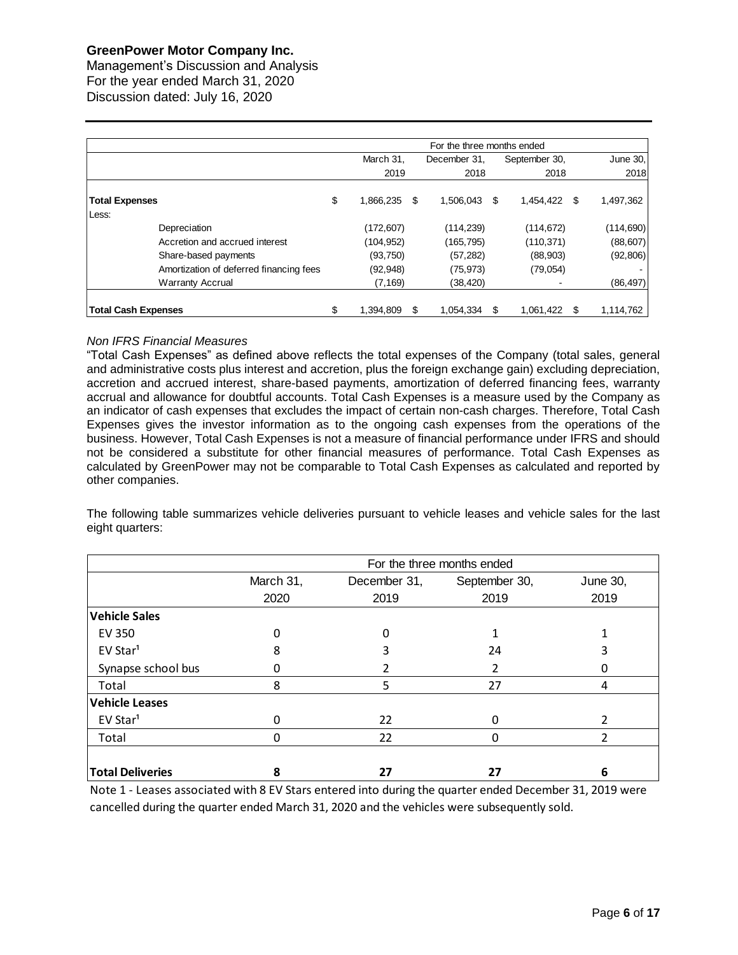Management's Discussion and Analysis For the year ended March 31, 2020 Discussion dated: July 16, 2020

|                            |                                         |                 |   | For the three months ended |                    |               |           |            |
|----------------------------|-----------------------------------------|-----------------|---|----------------------------|--------------------|---------------|-----------|------------|
|                            |                                         | March 31,       |   | December 31.               |                    | September 30, |           | June 30,   |
|                            |                                         | 2019            |   | 2018                       |                    | 2018          |           | 2018       |
| <b>Total Expenses</b>      |                                         | \$<br>1,866,235 | S | 1,506,043                  | 1,454,422 \$<br>\$ |               | 1,497,362 |            |
| Less:                      |                                         |                 |   |                            |                    |               |           |            |
|                            | Depreciation                            | (172, 607)      |   | (114,239)                  |                    | (114, 672)    |           | (114, 690) |
|                            | Accretion and accrued interest          | (104, 952)      |   | (165,795)                  |                    | (110, 371)    |           | (88, 607)  |
|                            | Share-based payments                    | (93,750)        |   | (57, 282)                  |                    | (88,903)      |           | (92, 806)  |
|                            | Amortization of deferred financing fees | (92, 948)       |   | (75, 973)                  |                    | (79,054)      |           |            |
|                            | <b>Warranty Accrual</b>                 | (7, 169)        |   | (38, 420)                  |                    |               |           | (86, 497)  |
| <b>Total Cash Expenses</b> |                                         | \$<br>1.394.809 | S | 1.054.334                  | S                  | 1.061.422 \$  |           | 1,114,762  |

# *Non IFRS Financial Measures*

"Total Cash Expenses" as defined above reflects the total expenses of the Company (total sales, general and administrative costs plus interest and accretion, plus the foreign exchange gain) excluding depreciation, accretion and accrued interest, share-based payments, amortization of deferred financing fees, warranty accrual and allowance for doubtful accounts. Total Cash Expenses is a measure used by the Company as an indicator of cash expenses that excludes the impact of certain non-cash charges. Therefore, Total Cash Expenses gives the investor information as to the ongoing cash expenses from the operations of the business. However, Total Cash Expenses is not a measure of financial performance under IFRS and should not be considered a substitute for other financial measures of performance. Total Cash Expenses as calculated by GreenPower may not be comparable to Total Cash Expenses as calculated and reported by other companies.

The following table summarizes vehicle deliveries pursuant to vehicle leases and vehicle sales for the last eight quarters:

|                         |           |              | For the three months ended |          |
|-------------------------|-----------|--------------|----------------------------|----------|
|                         | March 31, | December 31, | September 30,              | June 30, |
|                         | 2020      | 2019         | 2019                       | 2019     |
| <b>Vehicle Sales</b>    |           |              |                            |          |
| <b>EV 350</b>           | 0         | 0            |                            |          |
| EV Star <sup>1</sup>    | 8         |              | 24                         |          |
| Synapse school bus      |           |              |                            |          |
| Total                   | 8         | 5            | 27                         | 4        |
| <b>Vehicle Leases</b>   |           |              |                            |          |
| EV Star <sup>1</sup>    |           | 22           |                            |          |
| Total                   |           | 22           |                            |          |
|                         |           |              |                            |          |
| <b>Total Deliveries</b> | ጸ         | 27           | 27                         | 6        |

Note 1 - Leases associated with 8 EV Stars entered into during the quarter ended December 31, 2019 were cancelled during the quarter ended March 31, 2020 and the vehicles were subsequently sold.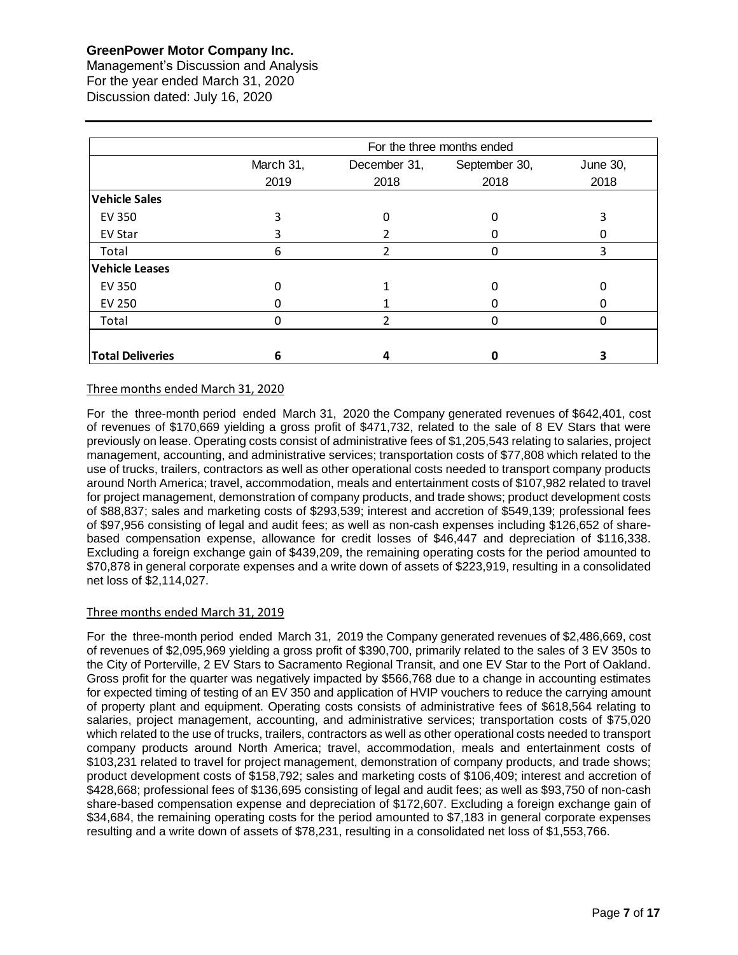Management's Discussion and Analysis For the year ended March 31, 2020 Discussion dated: July 16, 2020

|                         |           |                | For the three months ended |          |
|-------------------------|-----------|----------------|----------------------------|----------|
|                         | March 31, | December 31,   | September 30,              | June 30, |
|                         | 2019      | 2018           | 2018                       | 2018     |
| <b>Vehicle Sales</b>    |           |                |                            |          |
| EV 350                  | 3         | 0              | O                          | 3        |
| <b>EV Star</b>          | 3         |                |                            |          |
| Total                   | 6         | $\mathfrak{p}$ | $\Omega$                   | 3        |
| <b>Vehicle Leases</b>   |           |                |                            |          |
| <b>EV 350</b>           | 0         |                |                            |          |
| <b>EV 250</b>           |           |                |                            | ი        |
| Total                   | 0         | $\mathfrak{p}$ | $\Omega$                   | 0        |
|                         |           |                |                            |          |
| <b>Total Deliveries</b> | 6         | 4              | Ω                          | 3        |

# Three months ended March 31, 2020

For the three-month period ended March 31, 2020 the Company generated revenues of \$642,401, cost of revenues of \$170,669 yielding a gross profit of \$471,732, related to the sale of 8 EV Stars that were previously on lease. Operating costs consist of administrative fees of \$1,205,543 relating to salaries, project management, accounting, and administrative services; transportation costs of \$77,808 which related to the use of trucks, trailers, contractors as well as other operational costs needed to transport company products around North America; travel, accommodation, meals and entertainment costs of \$107,982 related to travel for project management, demonstration of company products, and trade shows; product development costs of \$88,837; sales and marketing costs of \$293,539; interest and accretion of \$549,139; professional fees of \$97,956 consisting of legal and audit fees; as well as non-cash expenses including \$126,652 of sharebased compensation expense, allowance for credit losses of \$46,447 and depreciation of \$116,338. Excluding a foreign exchange gain of \$439,209, the remaining operating costs for the period amounted to \$70,878 in general corporate expenses and a write down of assets of \$223,919, resulting in a consolidated net loss of \$2,114,027.

# Three months ended March 31, 2019

For the three-month period ended March 31, 2019 the Company generated revenues of \$2,486,669, cost of revenues of \$2,095,969 yielding a gross profit of \$390,700, primarily related to the sales of 3 EV 350s to the City of Porterville, 2 EV Stars to Sacramento Regional Transit, and one EV Star to the Port of Oakland. Gross profit for the quarter was negatively impacted by \$566,768 due to a change in accounting estimates for expected timing of testing of an EV 350 and application of HVIP vouchers to reduce the carrying amount of property plant and equipment. Operating costs consists of administrative fees of \$618,564 relating to salaries, project management, accounting, and administrative services; transportation costs of \$75,020 which related to the use of trucks, trailers, contractors as well as other operational costs needed to transport company products around North America; travel, accommodation, meals and entertainment costs of \$103,231 related to travel for project management, demonstration of company products, and trade shows; product development costs of \$158,792; sales and marketing costs of \$106,409; interest and accretion of \$428,668; professional fees of \$136,695 consisting of legal and audit fees; as well as \$93,750 of non-cash share-based compensation expense and depreciation of \$172,607. Excluding a foreign exchange gain of \$34,684, the remaining operating costs for the period amounted to \$7,183 in general corporate expenses resulting and a write down of assets of \$78,231, resulting in a consolidated net loss of \$1,553,766.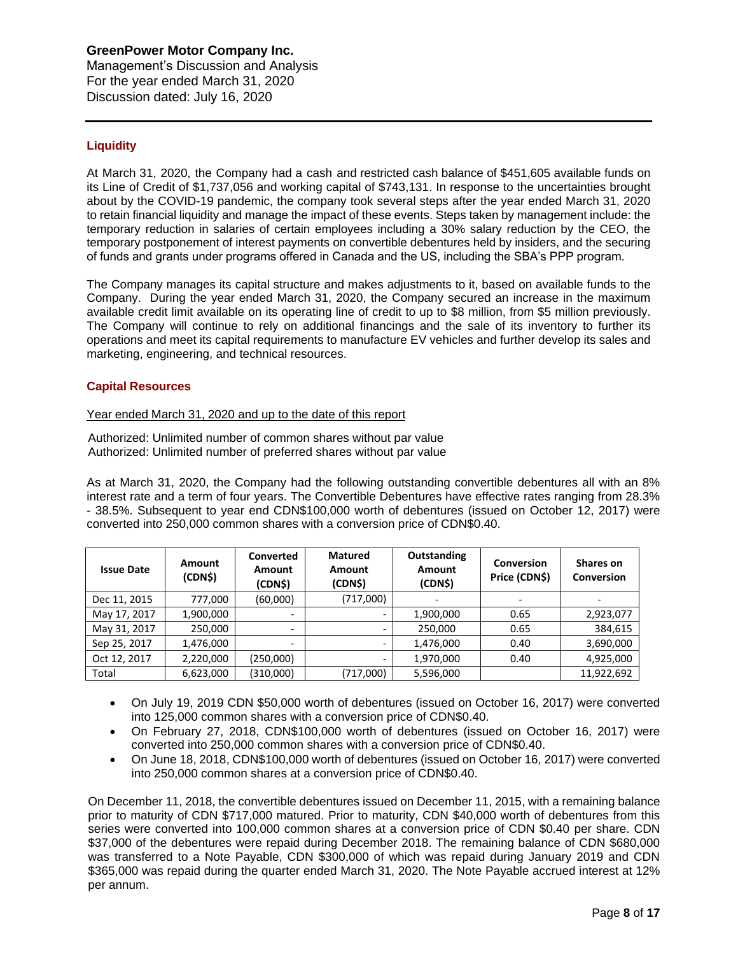Management's Discussion and Analysis For the year ended March 31, 2020 Discussion dated: July 16, 2020

# **Liquidity**

At March 31, 2020, the Company had a cash and restricted cash balance of \$451,605 available funds on its Line of Credit of \$1,737,056 and working capital of \$743,131. In response to the uncertainties brought about by the COVID-19 pandemic, the company took several steps after the year ended March 31, 2020 to retain financial liquidity and manage the impact of these events. Steps taken by management include: the temporary reduction in salaries of certain employees including a 30% salary reduction by the CEO, the temporary postponement of interest payments on convertible debentures held by insiders, and the securing of funds and grants under programs offered in Canada and the US, including the SBA's PPP program.

The Company manages its capital structure and makes adjustments to it, based on available funds to the Company. During the year ended March 31, 2020, the Company secured an increase in the maximum available credit limit available on its operating line of credit to up to \$8 million, from \$5 million previously. The Company will continue to rely on additional financings and the sale of its inventory to further its operations and meet its capital requirements to manufacture EV vehicles and further develop its sales and marketing, engineering, and technical resources.

# **Capital Resources**

# Year ended March 31, 2020 and up to the date of this report

Authorized: Unlimited number of common shares without par value Authorized: Unlimited number of preferred shares without par value

As at March 31, 2020, the Company had the following outstanding convertible debentures all with an 8% interest rate and a term of four years. The Convertible Debentures have effective rates ranging from 28.3% - 38.5%. Subsequent to year end CDN\$100,000 worth of debentures (issued on October 12, 2017) were converted into 250,000 common shares with a conversion price of CDN\$0.40.

| <b>Issue Date</b> | <b>Amount</b><br>(CDN\$) | <b>Converted</b><br><b>Amount</b><br>(CDN\$) | <b>Matured</b><br><b>Amount</b><br>(CDN\$) | Outstanding<br><b>Amount</b><br>(CDN\$) | <b>Conversion</b><br>Price (CDN\$) | <b>Shares on</b><br><b>Conversion</b> |
|-------------------|--------------------------|----------------------------------------------|--------------------------------------------|-----------------------------------------|------------------------------------|---------------------------------------|
| Dec 11, 2015      | 777,000                  | (60,000)                                     | (717,000)                                  |                                         | $\overline{\phantom{a}}$           |                                       |
| May 17, 2017      | 1,900,000                | $\overline{\phantom{0}}$                     | $\overline{\phantom{a}}$                   | 1,900,000                               | 0.65                               | 2,923,077                             |
| May 31, 2017      | 250,000                  | $\overline{\phantom{0}}$                     |                                            | 250,000                                 | 0.65                               | 384,615                               |
| Sep 25, 2017      | 1,476,000                |                                              |                                            | 1,476,000                               | 0.40                               | 3,690,000                             |
| Oct 12, 2017      | 2,220,000                | (250,000)                                    | -                                          | 1,970,000                               | 0.40                               | 4,925,000                             |
| Total             | 6,623,000                | (310,000)                                    | (717,000)                                  | 5,596,000                               |                                    | 11,922,692                            |

- On July 19, 2019 CDN \$50,000 worth of debentures (issued on October 16, 2017) were converted into 125,000 common shares with a conversion price of CDN\$0.40.
- On February 27, 2018, CDN\$100,000 worth of debentures (issued on October 16, 2017) were converted into 250,000 common shares with a conversion price of CDN\$0.40.
- On June 18, 2018, CDN\$100,000 worth of debentures (issued on October 16, 2017) were converted into 250,000 common shares at a conversion price of CDN\$0.40.

On December 11, 2018, the convertible debentures issued on December 11, 2015, with a remaining balance prior to maturity of CDN \$717,000 matured. Prior to maturity, CDN \$40,000 worth of debentures from this series were converted into 100,000 common shares at a conversion price of CDN \$0.40 per share. CDN \$37,000 of the debentures were repaid during December 2018. The remaining balance of CDN \$680,000 was transferred to a Note Payable, CDN \$300,000 of which was repaid during January 2019 and CDN \$365,000 was repaid during the quarter ended March 31, 2020. The Note Payable accrued interest at 12% per annum.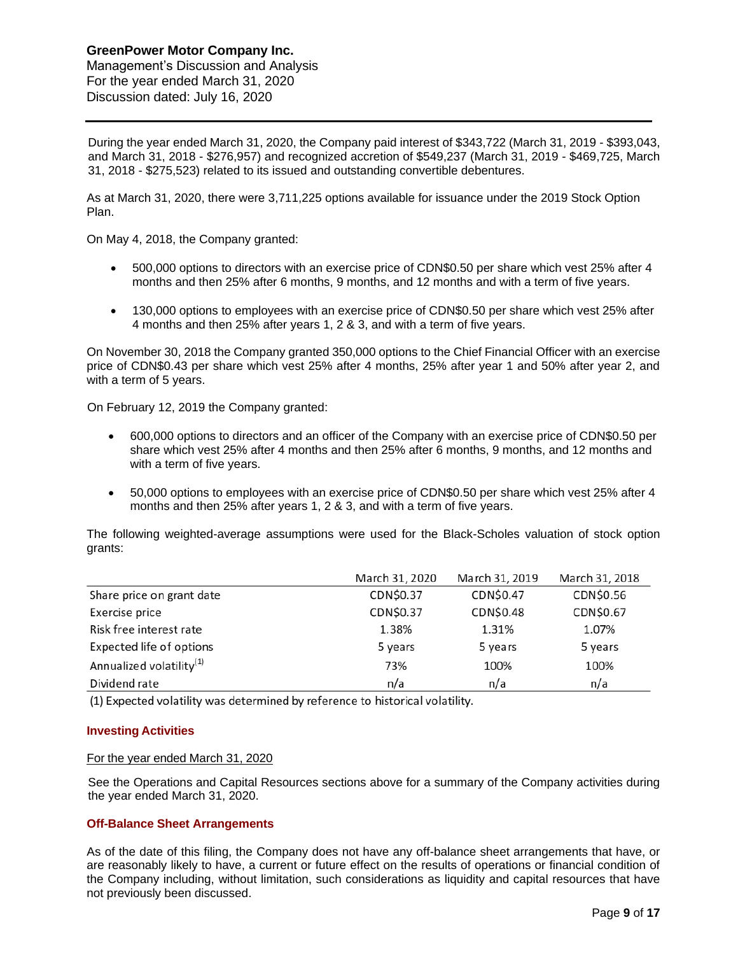Management's Discussion and Analysis For the year ended March 31, 2020 Discussion dated: July 16, 2020

During the year ended March 31, 2020, the Company paid interest of \$343,722 (March 31, 2019 - \$393,043, and March 31, 2018 - \$276,957) and recognized accretion of \$549,237 (March 31, 2019 - \$469,725, March 31, 2018 - \$275,523) related to its issued and outstanding convertible debentures.

As at March 31, 2020, there were 3,711,225 options available for issuance under the 2019 Stock Option Plan.

On May 4, 2018, the Company granted:

- 500,000 options to directors with an exercise price of CDN\$0.50 per share which vest 25% after 4 months and then 25% after 6 months, 9 months, and 12 months and with a term of five years.
- 130,000 options to employees with an exercise price of CDN\$0.50 per share which vest 25% after 4 months and then 25% after years 1, 2 & 3, and with a term of five years.

On November 30, 2018 the Company granted 350,000 options to the Chief Financial Officer with an exercise price of CDN\$0.43 per share which vest 25% after 4 months, 25% after year 1 and 50% after year 2, and with a term of 5 years.

On February 12, 2019 the Company granted:

- 600,000 options to directors and an officer of the Company with an exercise price of CDN\$0.50 per share which vest 25% after 4 months and then 25% after 6 months, 9 months, and 12 months and with a term of five years.
- 50,000 options to employees with an exercise price of CDN\$0.50 per share which vest 25% after 4 months and then 25% after years 1, 2 & 3, and with a term of five years.

The following weighted-average assumptions were used for the Black-Scholes valuation of stock option grants:

|                                      | March 31, 2020 | March 31, 2019 | March 31, 2018 |
|--------------------------------------|----------------|----------------|----------------|
| Share price on grant date            | CDN\$0.37      | CDN\$0.47      | CDN\$0.56      |
| Exercise price                       | CDN\$0.37      | CDN\$0.48      | CDN\$0.67      |
| Risk free interest rate              | 1.38%          | 1.31%          | 1.07%          |
| Expected life of options             | 5 years        | 5 years        | 5 years        |
| Annualized volatility <sup>(1)</sup> | 73%            | 100%           | 100%           |
| Dividend rate                        | n/a            | n/a            | n/a            |

(1) Expected volatility was determined by reference to historical volatility.

# **Investing Activities**

#### For the year ended March 31, 2020

See the Operations and Capital Resources sections above for a summary of the Company activities during the year ended March 31, 2020.

# **Off-Balance Sheet Arrangements**

As of the date of this filing, the Company does not have any off-balance sheet arrangements that have, or are reasonably likely to have, a current or future effect on the results of operations or financial condition of the Company including, without limitation, such considerations as liquidity and capital resources that have not previously been discussed.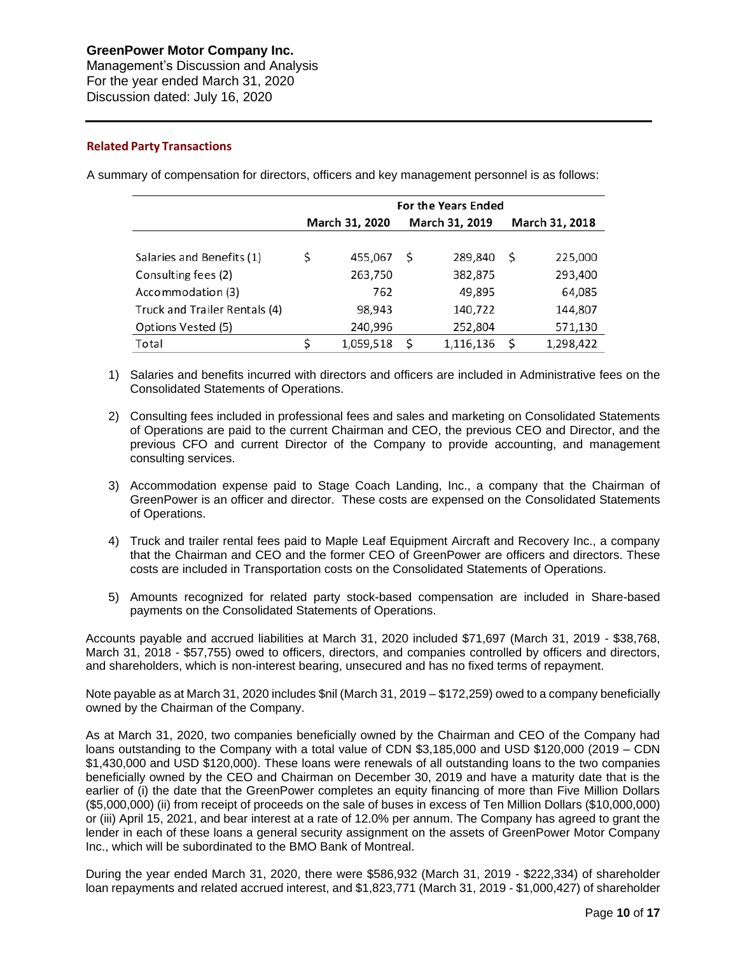Management's Discussion and Analysis For the year ended March 31, 2020 Discussion dated: July 16, 2020

# **Related Party Transactions**

A summary of compensation for directors, officers and key management personnel is as follows:

|                               |                |    | <b>For the Years Ended</b> |                |           |  |
|-------------------------------|----------------|----|----------------------------|----------------|-----------|--|
|                               | March 31, 2020 |    | March 31, 2019             | March 31, 2018 |           |  |
|                               |                |    |                            |                |           |  |
| Salaries and Benefits (1)     | \$<br>455,067  | S  | 289,840                    | -S             | 225,000   |  |
| Consulting fees (2)           | 263,750        |    | 382,875                    |                | 293,400   |  |
| Accommodation (3)             | 762            |    | 49,895                     |                | 64,085    |  |
| Truck and Trailer Rentals (4) | 98,943         |    | 140,722                    |                | 144,807   |  |
| Options Vested (5)            | 240,996        |    | 252,804                    |                | 571,130   |  |
| Total                         | 1,059,518      | \$ | 1,116,136                  | S              | 1,298,422 |  |
|                               |                |    |                            |                |           |  |

- 1) Salaries and benefits incurred with directors and officers are included in Administrative fees on the Consolidated Statements of Operations.
- 2) Consulting fees included in professional fees and sales and marketing on Consolidated Statements of Operations are paid to the current Chairman and CEO, the previous CEO and Director, and the previous CFO and current Director of the Company to provide accounting, and management consulting services.
- 3) Accommodation expense paid to Stage Coach Landing, Inc., a company that the Chairman of GreenPower is an officer and director. These costs are expensed on the Consolidated Statements of Operations.
- 4) Truck and trailer rental fees paid to Maple Leaf Equipment Aircraft and Recovery Inc., a company that the Chairman and CEO and the former CEO of GreenPower are officers and directors. These costs are included in Transportation costs on the Consolidated Statements of Operations.
- 5) Amounts recognized for related party stock-based compensation are included in Share-based payments on the Consolidated Statements of Operations.

Accounts payable and accrued liabilities at March 31, 2020 included \$71,697 (March 31, 2019 - \$38,768, March 31, 2018 - \$57,755) owed to officers, directors, and companies controlled by officers and directors, and shareholders, which is non-interest bearing, unsecured and has no fixed terms of repayment.

Note payable as at March 31, 2020 includes \$nil (March 31, 2019 – \$172,259) owed to a company beneficially owned by the Chairman of the Company.

As at March 31, 2020, two companies beneficially owned by the Chairman and CEO of the Company had loans outstanding to the Company with a total value of CDN \$3,185,000 and USD \$120,000 (2019 – CDN \$1,430,000 and USD \$120,000). These loans were renewals of all outstanding loans to the two companies beneficially owned by the CEO and Chairman on December 30, 2019 and have a maturity date that is the earlier of (i) the date that the GreenPower completes an equity financing of more than Five Million Dollars (\$5,000,000) (ii) from receipt of proceeds on the sale of buses in excess of Ten Million Dollars (\$10,000,000) or (iii) April 15, 2021, and bear interest at a rate of 12.0% per annum. The Company has agreed to grant the lender in each of these loans a general security assignment on the assets of GreenPower Motor Company Inc., which will be subordinated to the BMO Bank of Montreal.

During the year ended March 31, 2020, there were \$586,932 (March 31, 2019 - \$222,334) of shareholder loan repayments and related accrued interest, and \$1,823,771 (March 31, 2019 - \$1,000,427) of shareholder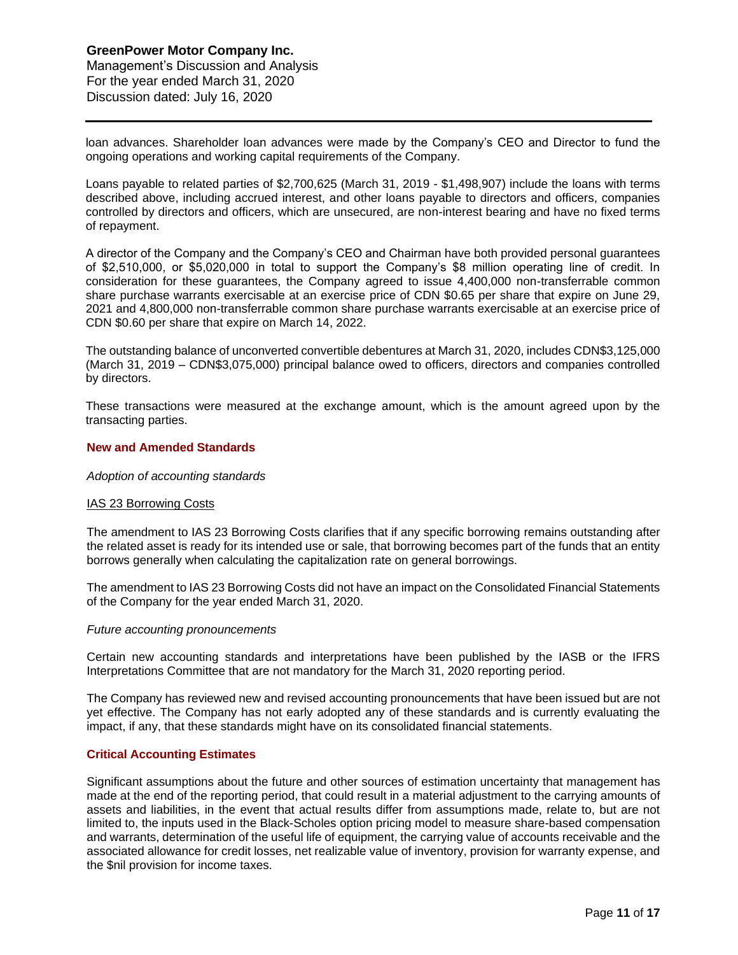Management's Discussion and Analysis For the year ended March 31, 2020 Discussion dated: July 16, 2020

loan advances. Shareholder loan advances were made by the Company's CEO and Director to fund the ongoing operations and working capital requirements of the Company.

Loans payable to related parties of \$2,700,625 (March 31, 2019 - \$1,498,907) include the loans with terms described above, including accrued interest, and other loans payable to directors and officers, companies controlled by directors and officers, which are unsecured, are non-interest bearing and have no fixed terms of repayment.

A director of the Company and the Company's CEO and Chairman have both provided personal guarantees of \$2,510,000, or \$5,020,000 in total to support the Company's \$8 million operating line of credit. In consideration for these guarantees, the Company agreed to issue 4,400,000 non-transferrable common share purchase warrants exercisable at an exercise price of CDN \$0.65 per share that expire on June 29, 2021 and 4,800,000 non-transferrable common share purchase warrants exercisable at an exercise price of CDN \$0.60 per share that expire on March 14, 2022.

The outstanding balance of unconverted convertible debentures at March 31, 2020, includes CDN\$3,125,000 (March 31, 2019 – CDN\$3,075,000) principal balance owed to officers, directors and companies controlled by directors.

These transactions were measured at the exchange amount, which is the amount agreed upon by the transacting parties.

# **New and Amended Standards**

#### *Adoption of accounting standards*

#### IAS 23 Borrowing Costs

The amendment to IAS 23 Borrowing Costs clarifies that if any specific borrowing remains outstanding after the related asset is ready for its intended use or sale, that borrowing becomes part of the funds that an entity borrows generally when calculating the capitalization rate on general borrowings.

The amendment to IAS 23 Borrowing Costs did not have an impact on the Consolidated Financial Statements of the Company for the year ended March 31, 2020.

#### *Future accounting pronouncements*

Certain new accounting standards and interpretations have been published by the IASB or the IFRS Interpretations Committee that are not mandatory for the March 31, 2020 reporting period.

The Company has reviewed new and revised accounting pronouncements that have been issued but are not yet effective. The Company has not early adopted any of these standards and is currently evaluating the impact, if any, that these standards might have on its consolidated financial statements.

#### **Critical Accounting Estimates**

Significant assumptions about the future and other sources of estimation uncertainty that management has made at the end of the reporting period, that could result in a material adjustment to the carrying amounts of assets and liabilities, in the event that actual results differ from assumptions made, relate to, but are not limited to, the inputs used in the Black-Scholes option pricing model to measure share-based compensation and warrants, determination of the useful life of equipment, the carrying value of accounts receivable and the associated allowance for credit losses, net realizable value of inventory, provision for warranty expense, and the \$nil provision for income taxes.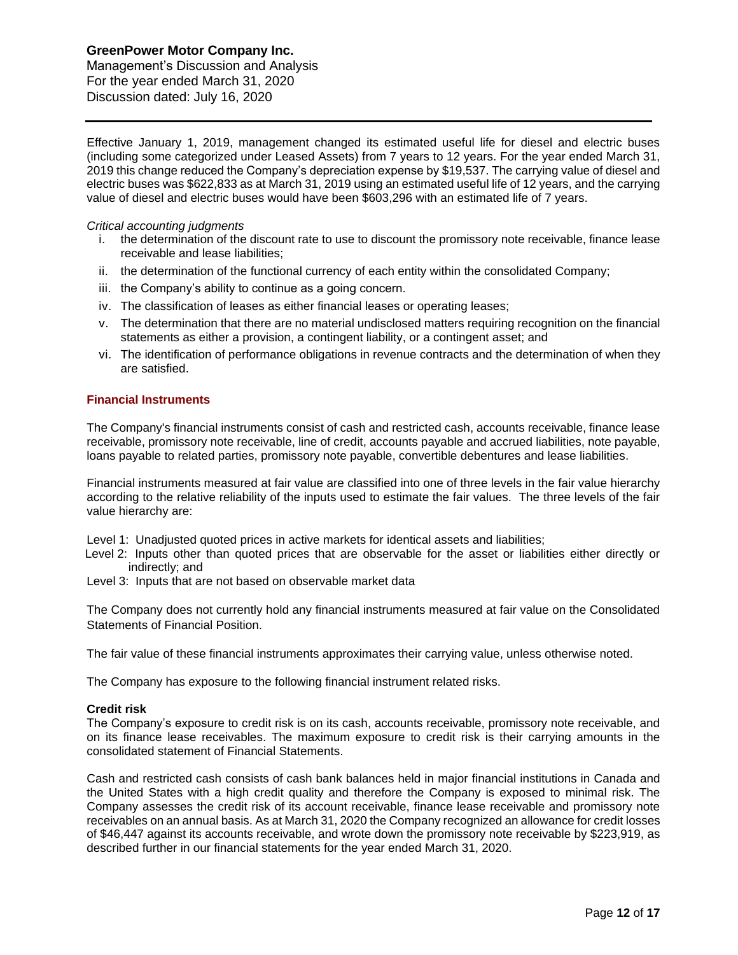Management's Discussion and Analysis For the year ended March 31, 2020 Discussion dated: July 16, 2020

Effective January 1, 2019, management changed its estimated useful life for diesel and electric buses (including some categorized under Leased Assets) from 7 years to 12 years. For the year ended March 31, 2019 this change reduced the Company's depreciation expense by \$19,537. The carrying value of diesel and electric buses was \$622,833 as at March 31, 2019 using an estimated useful life of 12 years, and the carrying value of diesel and electric buses would have been \$603,296 with an estimated life of 7 years.

### *Critical accounting judgments*

- i. the determination of the discount rate to use to discount the promissory note receivable, finance lease receivable and lease liabilities;
- ii. the determination of the functional currency of each entity within the consolidated Company;
- iii. the Company's ability to continue as a going concern.
- iv. The classification of leases as either financial leases or operating leases;
- v. The determination that there are no material undisclosed matters requiring recognition on the financial statements as either a provision, a contingent liability, or a contingent asset; and
- vi. The identification of performance obligations in revenue contracts and the determination of when they are satisfied.

# **Financial Instruments**

The Company's financial instruments consist of cash and restricted cash, accounts receivable, finance lease receivable, promissory note receivable, line of credit, accounts payable and accrued liabilities, note payable, loans payable to related parties, promissory note payable, convertible debentures and lease liabilities.

Financial instruments measured at fair value are classified into one of three levels in the fair value hierarchy according to the relative reliability of the inputs used to estimate the fair values. The three levels of the fair value hierarchy are:

Level 1: Unadjusted quoted prices in active markets for identical assets and liabilities;

- Level 2: Inputs other than quoted prices that are observable for the asset or liabilities either directly or indirectly; and
- Level 3: Inputs that are not based on observable market data

The Company does not currently hold any financial instruments measured at fair value on the Consolidated Statements of Financial Position.

The fair value of these financial instruments approximates their carrying value, unless otherwise noted.

The Company has exposure to the following financial instrument related risks.

# **Credit risk**

The Company's exposure to credit risk is on its cash, accounts receivable, promissory note receivable, and on its finance lease receivables. The maximum exposure to credit risk is their carrying amounts in the consolidated statement of Financial Statements.

Cash and restricted cash consists of cash bank balances held in major financial institutions in Canada and the United States with a high credit quality and therefore the Company is exposed to minimal risk. The Company assesses the credit risk of its account receivable, finance lease receivable and promissory note receivables on an annual basis. As at March 31, 2020 the Company recognized an allowance for credit losses of \$46,447 against its accounts receivable, and wrote down the promissory note receivable by \$223,919, as described further in our financial statements for the year ended March 31, 2020.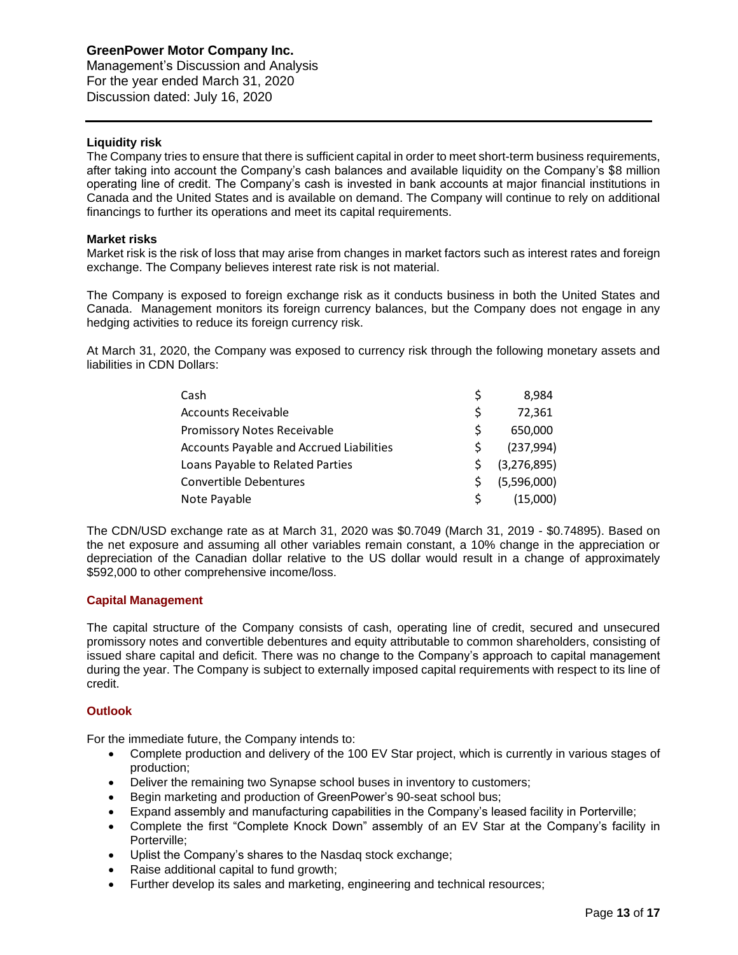Management's Discussion and Analysis For the year ended March 31, 2020 Discussion dated: July 16, 2020

# **Liquidity risk**

The Company tries to ensure that there is sufficient capital in order to meet short-term business requirements, after taking into account the Company's cash balances and available liquidity on the Company's \$8 million operating line of credit. The Company's cash is invested in bank accounts at major financial institutions in Canada and the United States and is available on demand. The Company will continue to rely on additional financings to further its operations and meet its capital requirements.

# **Market risks**

Market risk is the risk of loss that may arise from changes in market factors such as interest rates and foreign exchange. The Company believes interest rate risk is not material.

The Company is exposed to foreign exchange risk as it conducts business in both the United States and Canada. Management monitors its foreign currency balances, but the Company does not engage in any hedging activities to reduce its foreign currency risk.

At March 31, 2020, the Company was exposed to currency risk through the following monetary assets and liabilities in CDN Dollars:

| Cash                                     |    | 8.984       |
|------------------------------------------|----|-------------|
| <b>Accounts Receivable</b>               | Ś  | 72.361      |
| Promissory Notes Receivable              | S  | 650,000     |
| Accounts Payable and Accrued Liabilities | ς  | (237, 994)  |
| Loans Payable to Related Parties         |    | (3,276,895) |
| Convertible Debentures                   | S. | (5,596,000) |
| Note Payable                             | S  | (15,000)    |

The CDN/USD exchange rate as at March 31, 2020 was \$0.7049 (March 31, 2019 - \$0.74895). Based on the net exposure and assuming all other variables remain constant, a 10% change in the appreciation or depreciation of the Canadian dollar relative to the US dollar would result in a change of approximately \$592,000 to other comprehensive income/loss.

# **Capital Management**

The capital structure of the Company consists of cash, operating line of credit, secured and unsecured promissory notes and convertible debentures and equity attributable to common shareholders, consisting of issued share capital and deficit. There was no change to the Company's approach to capital management during the year. The Company is subject to externally imposed capital requirements with respect to its line of credit.

# **Outlook**

For the immediate future, the Company intends to:

- Complete production and delivery of the 100 EV Star project, which is currently in various stages of production;
- Deliver the remaining two Synapse school buses in inventory to customers;
- Begin marketing and production of GreenPower's 90-seat school bus;
- Expand assembly and manufacturing capabilities in the Company's leased facility in Porterville;
- Complete the first "Complete Knock Down" assembly of an EV Star at the Company's facility in Porterville;
- Uplist the Company's shares to the Nasdaq stock exchange;
- Raise additional capital to fund growth;
- Further develop its sales and marketing, engineering and technical resources;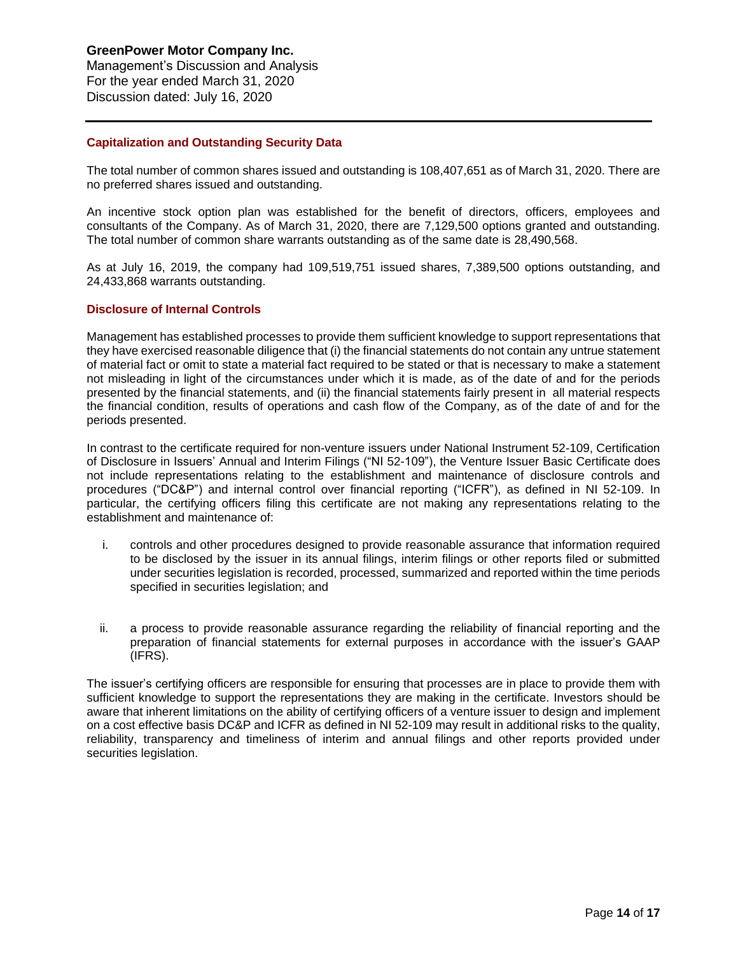**GreenPower Motor Company Inc.** Management's Discussion and Analysis For the year ended March 31, 2020

Discussion dated: July 16, 2020

# **Capitalization and Outstanding Security Data**

The total number of common shares issued and outstanding is 108,407,651 as of March 31, 2020. There are no preferred shares issued and outstanding.

An incentive stock option plan was established for the benefit of directors, officers, employees and consultants of the Company. As of March 31, 2020, there are 7,129,500 options granted and outstanding. The total number of common share warrants outstanding as of the same date is 28,490,568.

As at July 16, 2019, the company had 109,519,751 issued shares, 7,389,500 options outstanding, and 24,433,868 warrants outstanding.

#### **Disclosure of Internal Controls**

Management has established processes to provide them sufficient knowledge to support representations that they have exercised reasonable diligence that (i) the financial statements do not contain any untrue statement of material fact or omit to state a material fact required to be stated or that is necessary to make a statement not misleading in light of the circumstances under which it is made, as of the date of and for the periods presented by the financial statements, and (ii) the financial statements fairly present in all material respects the financial condition, results of operations and cash flow of the Company, as of the date of and for the periods presented.

In contrast to the certificate required for non-venture issuers under National Instrument 52-109, Certification of Disclosure in Issuers' Annual and Interim Filings ("NI 52-109"), the Venture Issuer Basic Certificate does not include representations relating to the establishment and maintenance of disclosure controls and procedures ("DC&P") and internal control over financial reporting ("ICFR"), as defined in NI 52-109. In particular, the certifying officers filing this certificate are not making any representations relating to the establishment and maintenance of:

- i. controls and other procedures designed to provide reasonable assurance that information required to be disclosed by the issuer in its annual filings, interim filings or other reports filed or submitted under securities legislation is recorded, processed, summarized and reported within the time periods specified in securities legislation; and
- ii. a process to provide reasonable assurance regarding the reliability of financial reporting and the preparation of financial statements for external purposes in accordance with the issuer's GAAP (IFRS).

The issuer's certifying officers are responsible for ensuring that processes are in place to provide them with sufficient knowledge to support the representations they are making in the certificate. Investors should be aware that inherent limitations on the ability of certifying officers of a venture issuer to design and implement on a cost effective basis DC&P and ICFR as defined in NI 52-109 may result in additional risks to the quality, reliability, transparency and timeliness of interim and annual filings and other reports provided under securities legislation.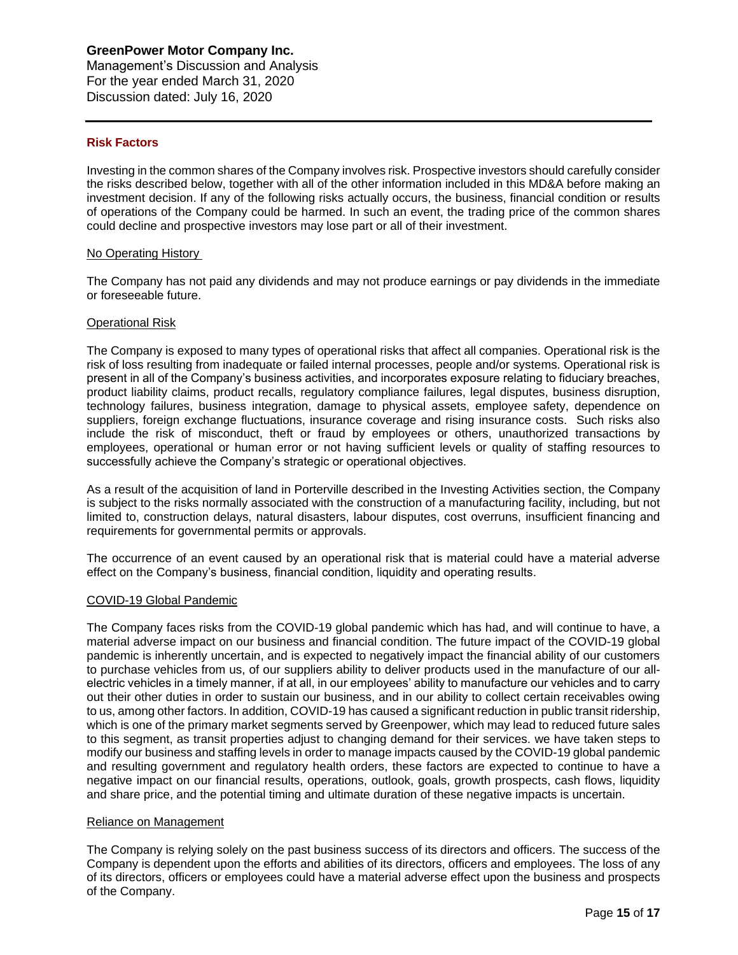Management's Discussion and Analysis For the year ended March 31, 2020 Discussion dated: July 16, 2020

# **Risk Factors**

Investing in the common shares of the Company involves risk. Prospective investors should carefully consider the risks described below, together with all of the other information included in this MD&A before making an investment decision. If any of the following risks actually occurs, the business, financial condition or results of operations of the Company could be harmed. In such an event, the trading price of the common shares could decline and prospective investors may lose part or all of their investment.

# No Operating History

The Company has not paid any dividends and may not produce earnings or pay dividends in the immediate or foreseeable future.

#### Operational Risk

The Company is exposed to many types of operational risks that affect all companies. Operational risk is the risk of loss resulting from inadequate or failed internal processes, people and/or systems. Operational risk is present in all of the Company's business activities, and incorporates exposure relating to fiduciary breaches, product liability claims, product recalls, regulatory compliance failures, legal disputes, business disruption, technology failures, business integration, damage to physical assets, employee safety, dependence on suppliers, foreign exchange fluctuations, insurance coverage and rising insurance costs. Such risks also include the risk of misconduct, theft or fraud by employees or others, unauthorized transactions by employees, operational or human error or not having sufficient levels or quality of staffing resources to successfully achieve the Company's strategic or operational objectives.

As a result of the acquisition of land in Porterville described in the Investing Activities section, the Company is subject to the risks normally associated with the construction of a manufacturing facility, including, but not limited to, construction delays, natural disasters, labour disputes, cost overruns, insufficient financing and requirements for governmental permits or approvals.

The occurrence of an event caused by an operational risk that is material could have a material adverse effect on the Company's business, financial condition, liquidity and operating results.

# COVID-19 Global Pandemic

The Company faces risks from the COVID-19 global pandemic which has had, and will continue to have, a material adverse impact on our business and financial condition. The future impact of the COVID-19 global pandemic is inherently uncertain, and is expected to negatively impact the financial ability of our customers to purchase vehicles from us, of our suppliers ability to deliver products used in the manufacture of our allelectric vehicles in a timely manner, if at all, in our employees' ability to manufacture our vehicles and to carry out their other duties in order to sustain our business, and in our ability to collect certain receivables owing to us, among other factors. In addition, COVID-19 has caused a significant reduction in public transit ridership, which is one of the primary market segments served by Greenpower, which may lead to reduced future sales to this segment, as transit properties adjust to changing demand for their services. we have taken steps to modify our business and staffing levels in order to manage impacts caused by the COVID-19 global pandemic and resulting government and regulatory health orders, these factors are expected to continue to have a negative impact on our financial results, operations, outlook, goals, growth prospects, cash flows, liquidity and share price, and the potential timing and ultimate duration of these negative impacts is uncertain.

# Reliance on Management

The Company is relying solely on the past business success of its directors and officers. The success of the Company is dependent upon the efforts and abilities of its directors, officers and employees. The loss of any of its directors, officers or employees could have a material adverse effect upon the business and prospects of the Company.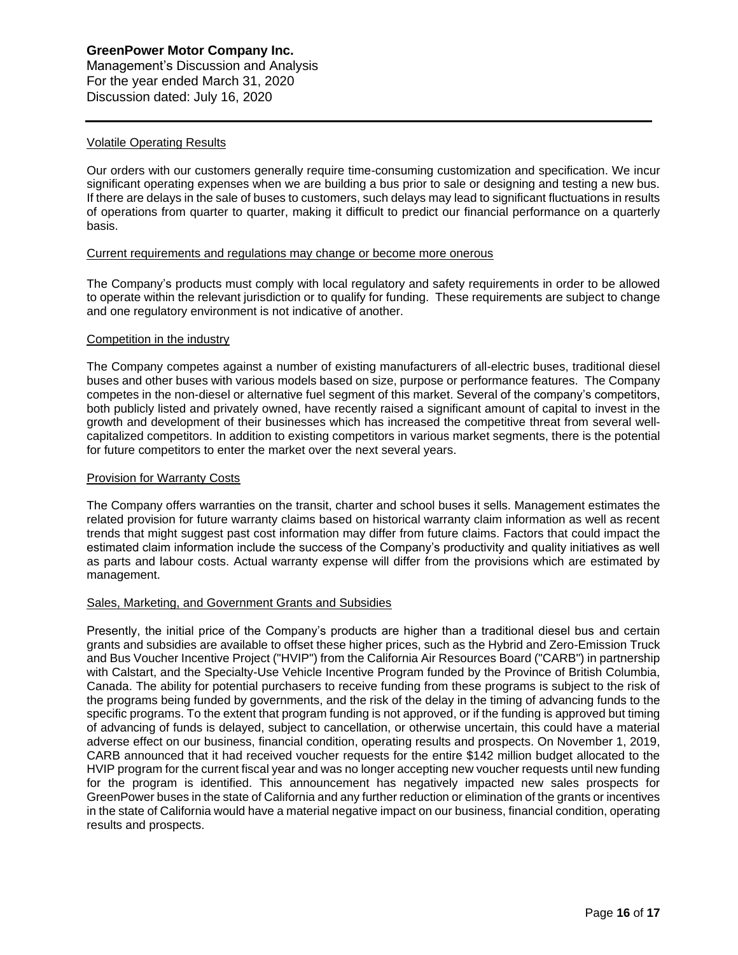# **GreenPower Motor Company Inc.** Management's Discussion and Analysis For the year ended March 31, 2020

Discussion dated: July 16, 2020

# Volatile Operating Results

Our orders with our customers generally require time-consuming customization and specification. We incur significant operating expenses when we are building a bus prior to sale or designing and testing a new bus. If there are delays in the sale of buses to customers, such delays may lead to significant fluctuations in results of operations from quarter to quarter, making it difficult to predict our financial performance on a quarterly basis.

### Current requirements and regulations may change or become more onerous

The Company's products must comply with local regulatory and safety requirements in order to be allowed to operate within the relevant jurisdiction or to qualify for funding. These requirements are subject to change and one regulatory environment is not indicative of another.

#### Competition in the industry

The Company competes against a number of existing manufacturers of all-electric buses, traditional diesel buses and other buses with various models based on size, purpose or performance features. The Company competes in the non-diesel or alternative fuel segment of this market. Several of the company's competitors, both publicly listed and privately owned, have recently raised a significant amount of capital to invest in the growth and development of their businesses which has increased the competitive threat from several wellcapitalized competitors. In addition to existing competitors in various market segments, there is the potential for future competitors to enter the market over the next several years.

### Provision for Warranty Costs

The Company offers warranties on the transit, charter and school buses it sells. Management estimates the related provision for future warranty claims based on historical warranty claim information as well as recent trends that might suggest past cost information may differ from future claims. Factors that could impact the estimated claim information include the success of the Company's productivity and quality initiatives as well as parts and labour costs. Actual warranty expense will differ from the provisions which are estimated by management.

# Sales, Marketing, and Government Grants and Subsidies

Presently, the initial price of the Company's products are higher than a traditional diesel bus and certain grants and subsidies are available to offset these higher prices, such as the Hybrid and Zero-Emission Truck and Bus Voucher Incentive Project ("HVIP") from the California Air Resources Board ("CARB") in partnership with Calstart, and the Specialty-Use Vehicle Incentive Program funded by the Province of British Columbia, Canada. The ability for potential purchasers to receive funding from these programs is subject to the risk of the programs being funded by governments, and the risk of the delay in the timing of advancing funds to the specific programs. To the extent that program funding is not approved, or if the funding is approved but timing of advancing of funds is delayed, subject to cancellation, or otherwise uncertain, this could have a material adverse effect on our business, financial condition, operating results and prospects. On November 1, 2019, CARB announced that it had received voucher requests for the entire \$142 million budget allocated to the HVIP program for the current fiscal year and was no longer accepting new voucher requests until new funding for the program is identified. This announcement has negatively impacted new sales prospects for GreenPower buses in the state of California and any further reduction or elimination of the grants or incentives in the state of California would have a material negative impact on our business, financial condition, operating results and prospects.